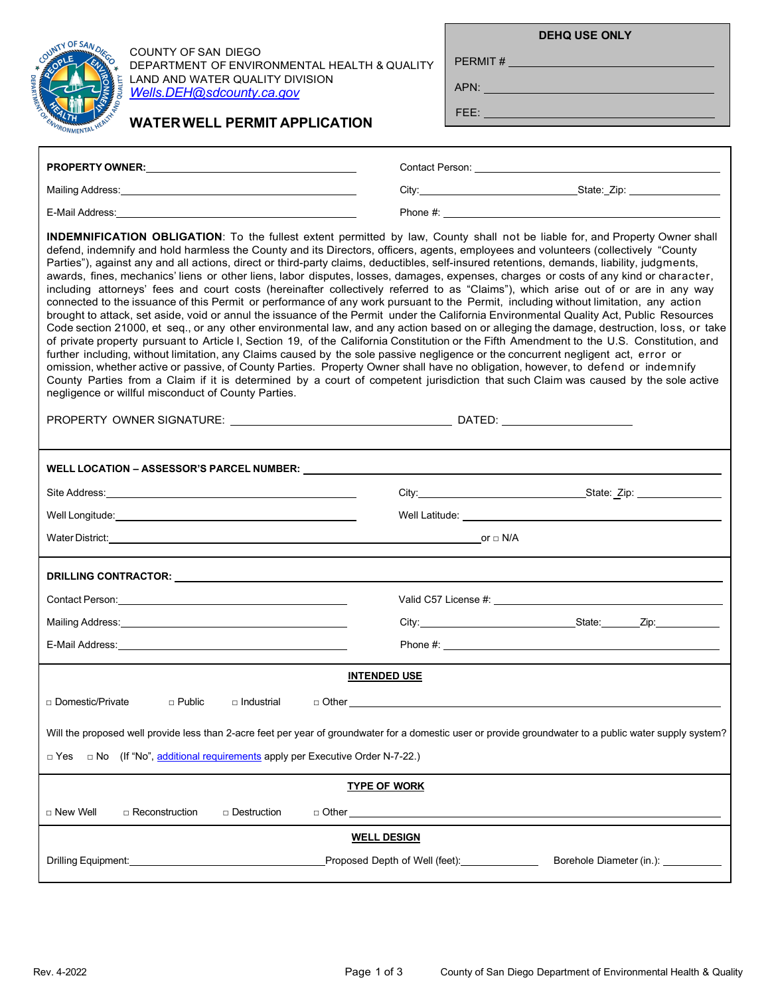|                      | OF SAN DIRGO<br><b>UNTY</b> |                    |
|----------------------|-----------------------------|--------------------|
|                      |                             |                    |
|                      |                             | <b>AND QUALITY</b> |
| DEBRET, CANADIAN CO. |                             | TAL HEALTY         |
|                      | VMEN                        |                    |

COUNTY OF SAN DIEGO DEPARTMENT OF ENVIRONMENTAL HEALTH & QUALITY LAND AND WATER QUALITY DIVISION *[Wells.DEH@sdcounty.ca.gov](mailto:Wells.DEH@sdcounty.ca.gov)*

**WATERWELL PERMIT APPLICATION**

**DEHQ USE ONLY**

PERMIT # **\_\_\_\_\_\_\_\_\_\_** 

APN:

FEE:

| <b>INDEMNIFICATION OBLIGATION:</b> To the fullest extent permitted by law, County shall not be liable for, and Property Owner shall<br>defend, indemnify and hold harmless the County and its Directors, officers, agents, employees and volunteers (collectively "County<br>Parties"), against any and all actions, direct or third-party claims, deductibles, self-insured retentions, demands, liability, judgments,<br>awards, fines, mechanics' liens or other liens, labor disputes, losses, damages, expenses, charges or costs of any kind or character,<br>including attorneys' fees and court costs (hereinafter collectively referred to as "Claims"), which arise out of or are in any way<br>connected to the issuance of this Permit or performance of any work pursuant to the Permit, including without limitation, any action<br>brought to attack, set aside, void or annul the issuance of the Permit under the California Environmental Quality Act, Public Resources<br>Code section 21000, et seq., or any other environmental law, and any action based on or alleging the damage, destruction, loss, or take<br>of private property pursuant to Article I, Section 19, of the California Constitution or the Fifth Amendment to the U.S. Constitution, and<br>further including, without limitation, any Claims caused by the sole passive negligence or the concurrent negligent act, error or<br>omission, whether active or passive, of County Parties. Property Owner shall have no obligation, however, to defend or indemnify<br>County Parties from a Claim if it is determined by a court of competent jurisdiction that such Claim was caused by the sole active<br>negligence or willful misconduct of County Parties. |                                                                                                                        |                                                     |  |
|----------------------------------------------------------------------------------------------------------------------------------------------------------------------------------------------------------------------------------------------------------------------------------------------------------------------------------------------------------------------------------------------------------------------------------------------------------------------------------------------------------------------------------------------------------------------------------------------------------------------------------------------------------------------------------------------------------------------------------------------------------------------------------------------------------------------------------------------------------------------------------------------------------------------------------------------------------------------------------------------------------------------------------------------------------------------------------------------------------------------------------------------------------------------------------------------------------------------------------------------------------------------------------------------------------------------------------------------------------------------------------------------------------------------------------------------------------------------------------------------------------------------------------------------------------------------------------------------------------------------------------------------------------------------------------------------------------------------------------------------------------|------------------------------------------------------------------------------------------------------------------------|-----------------------------------------------------|--|
|                                                                                                                                                                                                                                                                                                                                                                                                                                                                                                                                                                                                                                                                                                                                                                                                                                                                                                                                                                                                                                                                                                                                                                                                                                                                                                                                                                                                                                                                                                                                                                                                                                                                                                                                                          |                                                                                                                        |                                                     |  |
|                                                                                                                                                                                                                                                                                                                                                                                                                                                                                                                                                                                                                                                                                                                                                                                                                                                                                                                                                                                                                                                                                                                                                                                                                                                                                                                                                                                                                                                                                                                                                                                                                                                                                                                                                          |                                                                                                                        |                                                     |  |
|                                                                                                                                                                                                                                                                                                                                                                                                                                                                                                                                                                                                                                                                                                                                                                                                                                                                                                                                                                                                                                                                                                                                                                                                                                                                                                                                                                                                                                                                                                                                                                                                                                                                                                                                                          |                                                                                                                        |                                                     |  |
|                                                                                                                                                                                                                                                                                                                                                                                                                                                                                                                                                                                                                                                                                                                                                                                                                                                                                                                                                                                                                                                                                                                                                                                                                                                                                                                                                                                                                                                                                                                                                                                                                                                                                                                                                          |                                                                                                                        |                                                     |  |
|                                                                                                                                                                                                                                                                                                                                                                                                                                                                                                                                                                                                                                                                                                                                                                                                                                                                                                                                                                                                                                                                                                                                                                                                                                                                                                                                                                                                                                                                                                                                                                                                                                                                                                                                                          |                                                                                                                        |                                                     |  |
| DRILLING CONTRACTOR: University of the contract of the contract of the contract of the contract of the contract of the contract of the contract of the contract of the contract of the contract of the contract of the contrac                                                                                                                                                                                                                                                                                                                                                                                                                                                                                                                                                                                                                                                                                                                                                                                                                                                                                                                                                                                                                                                                                                                                                                                                                                                                                                                                                                                                                                                                                                                           |                                                                                                                        |                                                     |  |
|                                                                                                                                                                                                                                                                                                                                                                                                                                                                                                                                                                                                                                                                                                                                                                                                                                                                                                                                                                                                                                                                                                                                                                                                                                                                                                                                                                                                                                                                                                                                                                                                                                                                                                                                                          |                                                                                                                        |                                                     |  |
|                                                                                                                                                                                                                                                                                                                                                                                                                                                                                                                                                                                                                                                                                                                                                                                                                                                                                                                                                                                                                                                                                                                                                                                                                                                                                                                                                                                                                                                                                                                                                                                                                                                                                                                                                          |                                                                                                                        |                                                     |  |
|                                                                                                                                                                                                                                                                                                                                                                                                                                                                                                                                                                                                                                                                                                                                                                                                                                                                                                                                                                                                                                                                                                                                                                                                                                                                                                                                                                                                                                                                                                                                                                                                                                                                                                                                                          |                                                                                                                        |                                                     |  |
| <b>INTENDED USE</b>                                                                                                                                                                                                                                                                                                                                                                                                                                                                                                                                                                                                                                                                                                                                                                                                                                                                                                                                                                                                                                                                                                                                                                                                                                                                                                                                                                                                                                                                                                                                                                                                                                                                                                                                      |                                                                                                                        |                                                     |  |
| □ Domestic/Private<br>$\Box$ Public<br>$\sqcap$ Industrial<br>□ Other ________________                                                                                                                                                                                                                                                                                                                                                                                                                                                                                                                                                                                                                                                                                                                                                                                                                                                                                                                                                                                                                                                                                                                                                                                                                                                                                                                                                                                                                                                                                                                                                                                                                                                                   |                                                                                                                        |                                                     |  |
| Will the proposed well provide less than 2-acre feet per year of groundwater for a domestic user or provide groundwater to a public water supply system?<br>$\Box$ No (If "No", additional requirements apply per Executive Order N-7-22.)<br>$\Box$ Yes                                                                                                                                                                                                                                                                                                                                                                                                                                                                                                                                                                                                                                                                                                                                                                                                                                                                                                                                                                                                                                                                                                                                                                                                                                                                                                                                                                                                                                                                                                 |                                                                                                                        |                                                     |  |
| <b>TYPE OF WORK</b>                                                                                                                                                                                                                                                                                                                                                                                                                                                                                                                                                                                                                                                                                                                                                                                                                                                                                                                                                                                                                                                                                                                                                                                                                                                                                                                                                                                                                                                                                                                                                                                                                                                                                                                                      |                                                                                                                        |                                                     |  |
| □ New Well<br>$\Box$ Reconstruction<br>□ Destruction<br>□ Other                                                                                                                                                                                                                                                                                                                                                                                                                                                                                                                                                                                                                                                                                                                                                                                                                                                                                                                                                                                                                                                                                                                                                                                                                                                                                                                                                                                                                                                                                                                                                                                                                                                                                          | <u>a sa barang sa mga sangang nagsang nagsang nagsang nagsang nagsang nagsang nagsang nagsang nagsang nagsang nags</u> |                                                     |  |
| <b>WELL DESIGN</b>                                                                                                                                                                                                                                                                                                                                                                                                                                                                                                                                                                                                                                                                                                                                                                                                                                                                                                                                                                                                                                                                                                                                                                                                                                                                                                                                                                                                                                                                                                                                                                                                                                                                                                                                       |                                                                                                                        |                                                     |  |
| Drilling Equipment:                                                                                                                                                                                                                                                                                                                                                                                                                                                                                                                                                                                                                                                                                                                                                                                                                                                                                                                                                                                                                                                                                                                                                                                                                                                                                                                                                                                                                                                                                                                                                                                                                                                                                                                                      | Proposed Depth of Well (feet): ______________                                                                          | Borehole Diameter (in.): <b>Container Container</b> |  |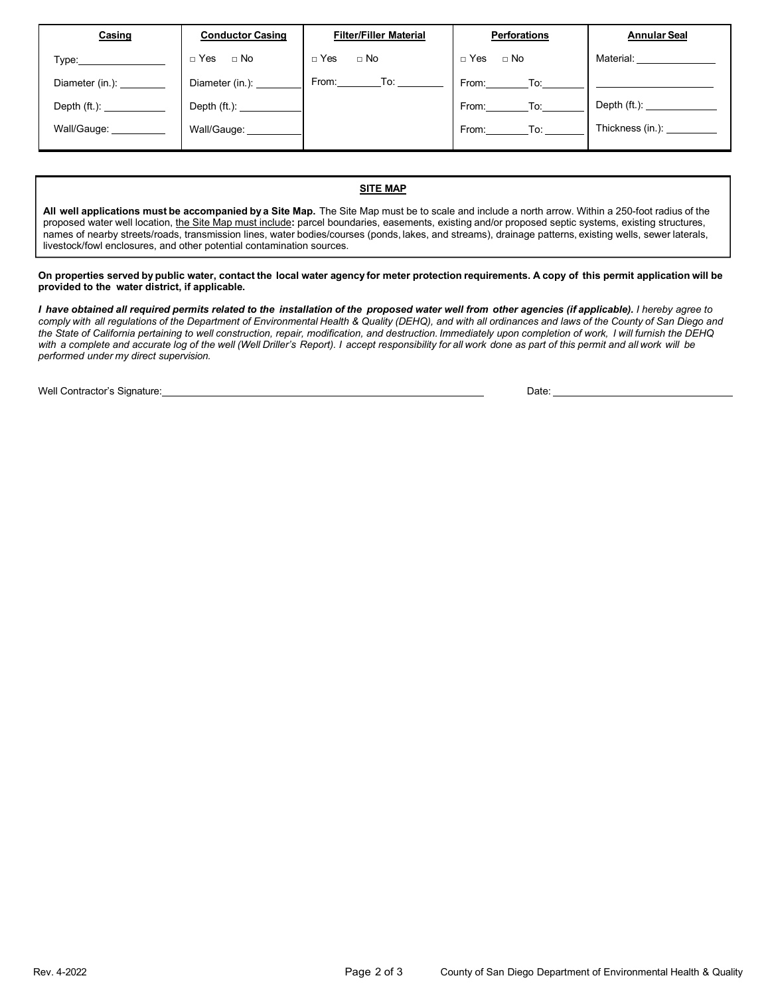| Casing                                                                                                                                                                                                                         | <b>Conductor Casing</b> | <b>Filter/Filler Material</b> | <b>Perforations</b> | <b>Annular Seal</b>       |
|--------------------------------------------------------------------------------------------------------------------------------------------------------------------------------------------------------------------------------|-------------------------|-------------------------------|---------------------|---------------------------|
| Type: The contract of the contract of the contract of the contract of the contract of the contract of the contract of the contract of the contract of the contract of the contract of the contract of the contract of the cont | □ Yes □ No              | $\Box$ Yes $\Box$ No          | □ Yes □ No          | Material: <b>Material</b> |
| Diameter (in.):                                                                                                                                                                                                                | Diameter (in.):         | From: To:                     | From: To: I         |                           |
|                                                                                                                                                                                                                                | Depth (ft.): __________ |                               | From: To:           |                           |
| Wall/Gauge: ______                                                                                                                                                                                                             | Wall/Gauge: ________    |                               | From: To:           | Thickness (in.):          |
|                                                                                                                                                                                                                                |                         |                               |                     |                           |

#### **SITE MAP**

**All well applications must be accompanied by a Site Map.** The Site Map must be to scale and include a north arrow. Within a 250-foot radius of the proposed water well location, the Site Map must include**:** parcel boundaries, easements, existing and/or proposed septic systems, existing structures, names of nearby streets/roads, transmission lines, water bodies/courses (ponds, lakes, and streams), drainage patterns, existing wells, sewer laterals, livestock/fowl enclosures, and other potential contamination sources.

#### On properties served by public water, contact the local water agency for meter protection requirements. A copy of this permit application will be **provided to the water district, if applicable.**

I have obtained all required permits related to the installation of the proposed water well from other agencies (if applicable). I hereby agree to comply with all regulations of the Department of Environmental Health & Quality (DEHQ), and with all ordinances and laws of the County of San Diego and *the State of California pertaining to well construction, repair, modification, and destruction. Immediately upon completion of work, I will furnish the DEHQ*  with a complete and accurate log of the well (Well Driller's Report). I accept responsibility for all work done as part of this permit and all work will be *performed under my direct supervision.*

Well Contractor's Signature: Date: